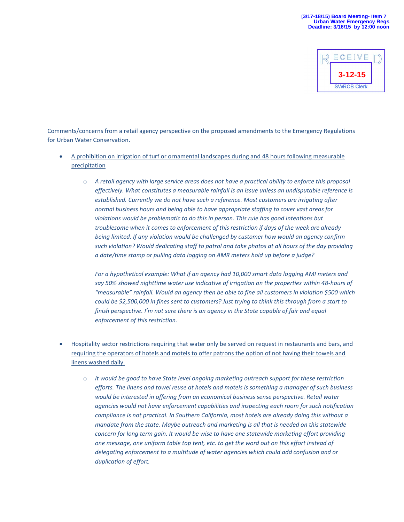

Comments/concerns from a retail agency perspective on the proposed amendments to the Emergency Regulations for Urban Water Conservation.

- A prohibition on irrigation of turf or ornamental landscapes during and 48 hours following measurable precipitation
	- o *A retail agency with large service areas does not have a practical ability to enforce this proposal effectively. What constitutes a measurable rainfall is an issue unless an undisputable reference is established. Currently we do not have such a reference. Most customers are irrigating after normal business hours and being able to have appropriate staffing to cover vast areas for violations would be problematic to do this in person. This rule has good intentions but troublesome when it comes to enforcement of this restriction if days of the week are already being limited. If any violation would be challenged by customer how would an agency confirm such violation? Would dedicating staff to patrol and take photos at all hours of the day providing a date/time stamp or pulling data logging on AMR meters hold up before a judge?*

*For a hypothetical example: What if an agency had 10,000 smart data logging AMI meters and say 50% showed nighttime water use indicative of irrigation on the properties within 48-hours of "measurable" rainfall. Would an agency then be able to fine all customers in violation \$500 which could be \$2,500,000 in fines sent to customers? Just trying to think this through from a start to finish perspective. I'm not sure there is an agency in the State capable of fair and equal enforcement of this restriction.* 

- Hospitality sector restrictions requiring that water only be served on request in restaurants and bars, and requiring the operators of hotels and motels to offer patrons the option of not having their towels and linens washed daily.
	- o *It would be good to have State level ongoing marketing outreach support for these restriction efforts. The linens and towel reuse at hotels and motels is something a manager of such business would be interested in offering from an economical business sense perspective. Retail water agencies would not have enforcement capabilities and inspecting each room for such notification compliance is not practical. In Southern California, most hotels are already doing this without a mandate from the state. Maybe outreach and marketing is all that is needed on this statewide concern for long term gain. It would be wise to have one statewide marketing effort providing one message, one uniform table top tent, etc. to get the word out on this effort instead of delegating enforcement to a multitude of water agencies which could add confusion and or duplication of effort.*